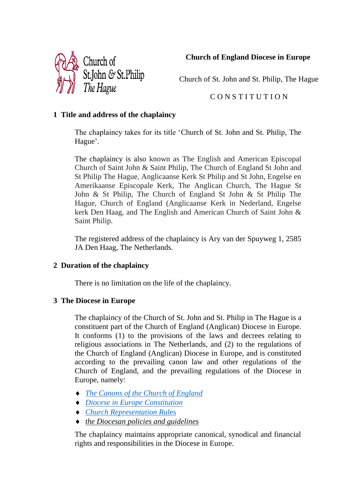

**Church of England Diocese in Europe**

Church of St. John and St. Philip, The Hague

# C O N S T I T U T I O N

# **1 Title and address of the chaplaincy**

The chaplaincy takes for its title 'Church of St. John and St. Philip, The Hague'.

The chaplaincy is also known as The English and American Episcopal Church of Saint John & Saint Philip, The Church of England St John and St Philip The Hague, Anglicaanse Kerk St Philip and St John, Engelse en Amerikaanse Episcopale Kerk, The Anglican Church, The Hague St John & St Philip, The Church of England St John & St Philip The Hague, Church of England (Anglicaanse Kerk in Nederland, Engelse kerk Den Haag, and The English and American Church of Saint John & Saint Philip.

The registered address of the chaplaincy is Ary van der Spuyweg 1, 2585 JA Den Haag, The Netherlands.

# **2 Duration of the chaplaincy**

There is no limitation on the life of the chaplaincy.

# **3 The Diocese in Europe**

The chaplaincy of the Church of St. John and St. Philip in The Hague is a constituent part of the Church of England (Anglican) Diocese in Europe. It conforms (1) to the provisions of the laws and decrees relating to religious associations in The Netherlands, and (2) to the regulations of the Church of England (Anglican) Diocese in Europe, and is constituted according to the prevailing canon law and other regulations of the Church of England, and the prevailing regulations of the Diocese in Europe, namely:

- *[The Canons of the Church of England](https://www.churchofengland.org/about/leadership-and-governance/legal-services/canons-church-england/canons-website-edition)*
- *[Diocese in Europe Constitution](https://europe.anglican.org/diocesan-handbook/constitution-of-the-diocese-in-europe-1995)*
- *[Church Representation Rul](https://www.churchofengland.org/about/leadership-and-governance/legal-services/church-representation-rules/contents)*es
- *the Diocesan policies and guidelines*

The chaplaincy maintains appropriate canonical, synodical and financial rights and responsibilities in the Diocese in Europe.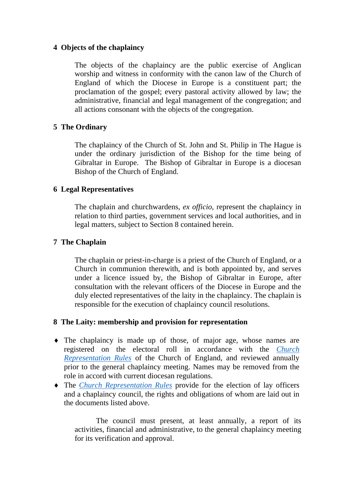## **4 Objects of the chaplaincy**

The objects of the chaplaincy are the public exercise of Anglican worship and witness in conformity with the canon law of the Church of England of which the Diocese in Europe is a constituent part; the proclamation of the gospel; every pastoral activity allowed by law; the administrative, financial and legal management of the congregation; and all actions consonant with the objects of the congregation.

## **5 The Ordinary**

The chaplaincy of the Church of St. John and St. Philip in The Hague is under the ordinary jurisdiction of the Bishop for the time being of Gibraltar in Europe. The Bishop of Gibraltar in Europe is a diocesan Bishop of the Church of England.

### **6 Legal Representatives**

The chaplain and churchwardens, *ex officio*, represent the chaplaincy in relation to third parties, government services and local authorities, and in legal matters, subject to Section 8 contained herein.

## **7 The Chaplain**

The chaplain or priest-in-charge is a priest of the Church of England, or a Church in communion therewith, and is both appointed by, and serves under a licence issued by, the Bishop of Gibraltar in Europe, after consultation with the relevant officers of the Diocese in Europe and the duly elected representatives of the laity in the chaplaincy. The chaplain is responsible for the execution of chaplaincy council resolutions.

### **8 The Laity: membership and provision for representation**

- The chaplaincy is made up of those, of major age, whose names are registered on the electoral roll in accordance with the *[Church](https://www.churchofengland.org/about/leadership-and-governance/legal-services/church-representation-rules/part-9)  [Representation Rules](https://www.churchofengland.org/about/leadership-and-governance/legal-services/church-representation-rules/part-9)* of the Church of England, and reviewed annually prior to the general chaplaincy meeting. Names may be removed from the role in accord with current diocesan regulations.
- The *[Church Representation Rules](https://www.churchofengland.org/about/leadership-and-governance/legal-services/church-representation-rules/part-9)* provide for the election of lay officers and a chaplaincy council, the rights and obligations of whom are laid out in the documents listed above.

The council must present, at least annually, a report of its activities, financial and administrative, to the general chaplaincy meeting for its verification and approval.